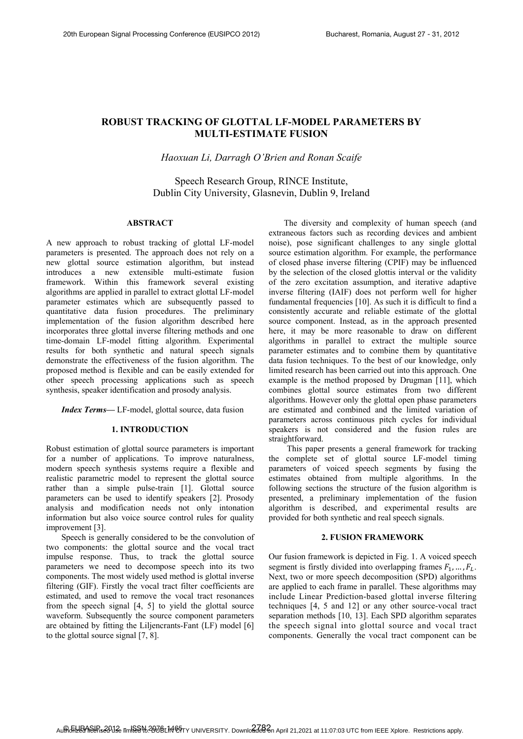# **ROBUST TRACKING OF GLOTTAL LF-MODEL PARAMETERS BY MULTI-ESTIMATE FUSION**

# *Haoxuan Li, Darragh O'Brien and Ronan Scaife*

# Speech Research Group, RINCE Institute, Dublin City University, Glasnevin, Dublin 9, Ireland

## **ABSTRACT**

A new approach to robust tracking of glottal LF-model parameters is presented. The approach does not rely on a new glottal source estimation algorithm, but instead introduces a new extensible multi-estimate fusion framework. Within this framework several existing algorithms are applied in parallel to extract glottal LF-model parameter estimates which are subsequently passed to quantitative data fusion procedures. The preliminary implementation of the fusion algorithm described here incorporates three glottal inverse filtering methods and one time-domain LF-model fitting algorithm. Experimental results for both synthetic and natural speech signals demonstrate the effectiveness of the fusion algorithm. The proposed method is flexible and can be easily extended for other speech processing applications such as speech synthesis, speaker identification and prosody analysis.

*Index Terms—* LF-model, glottal source, data fusion

## **1. INTRODUCTION**

Robust estimation of glottal source parameters is important for a number of applications. To improve naturalness, modern speech synthesis systems require a flexible and realistic parametric model to represent the glottal source rather than a simple pulse-train [1]. Glottal source parameters can be used to identify speakers [2]. Prosody analysis and modification needs not only intonation information but also voice source control rules for quality improvement [3].

Speech is generally considered to be the convolution of two components: the glottal source and the vocal tract impulse response. Thus, to track the glottal source parameters we need to decompose speech into its two components. The most widely used method is glottal inverse filtering (GIF). Firstly the vocal tract filter coefficients are estimated, and used to remove the vocal tract resonances from the speech signal [4, 5] to yield the glottal source waveform. Subsequently the source component parameters are obtained by fitting the Liljencrants-Fant (LF) model [6] to the glottal source signal [7, 8].

The diversity and complexity of human speech (and extraneous factors such as recording devices and ambient noise), pose significant challenges to any single glottal source estimation algorithm. For example, the performance of closed phase inverse filtering (CPIF) may be influenced by the selection of the closed glottis interval or the validity of the zero excitation assumption, and iterative adaptive inverse filtering (IAIF) does not perform well for higher fundamental frequencies [10]. As such it is difficult to find a consistently accurate and reliable estimate of the glottal source component. Instead, as in the approach presented here, it may be more reasonable to draw on different algorithms in parallel to extract the multiple source parameter estimates and to combine them by quantitative data fusion techniques. To the best of our knowledge, only limited research has been carried out into this approach. One example is the method proposed by Drugman [11], which combines glottal source estimates from two different algorithms. However only the glottal open phase parameters are estimated and combined and the limited variation of parameters across continuous pitch cycles for individual speakers is not considered and the fusion rules are straightforward.

This paper presents a general framework for tracking the complete set of glottal source LF-model timing parameters of voiced speech segments by fusing the estimates obtained from multiple algorithms. In the following sections the structure of the fusion algorithm is presented, a preliminary implementation of the fusion algorithm is described, and experimental results are provided for both synthetic and real speech signals.

### **2. FUSION FRAMEWORK**

Our fusion framework is depicted in Fig. 1. A voiced speech segment is firstly divided into overlapping frames  $F_1, \ldots, F_l$ . Next, two or more speech decomposition (SPD) algorithms are applied to each frame in parallel. These algorithms may include Linear Prediction-based glottal inverse filtering techniques [4, 5 and 12] or any other source-vocal tract separation methods [10, 13]. Each SPD algorithm separates the speech signal into glottal source and vocal tract components. Generally the vocal tract component can be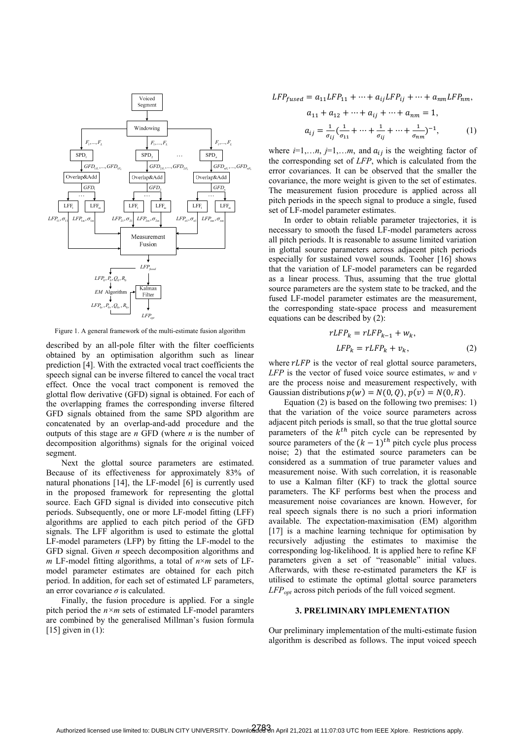

Figure 1. A general framework of the multi-estimate fusion algorithm

described by an all-pole filter with the filter coefficients obtained by an optimisation algorithm such as linear prediction [4]. With the extracted vocal tract coefficients the speech signal can be inverse filtered to cancel the vocal tract effect. Once the vocal tract component is removed the glottal flow derivative (GFD) signal is obtained. For each of the overlapping frames the corresponding inverse filtered GFD signals obtained from the same SPD algorithm are concatenated by an overlap-and-add procedure and the outputs of this stage are *n* GFD (where *n* is the number of decomposition algorithms) signals for the original voiced segment.

Next the glottal source parameters are estimated. Because of its effectiveness for approximately 83% of natural phonations [14], the LF-model [6] is currently used in the proposed framework for representing the glottal source. Each GFD signal is divided into consecutive pitch periods. Subsequently, one or more LF-model fitting (LFF) algorithms are applied to each pitch period of the GFD signals. The LFF algorithm is used to estimate the glottal LF-model parameters (LFP) by fitting the LF-model to the GFD signal. Given *n* speech decomposition algorithms and *m* LF-model fitting algorithms, a total of  $n \times m$  sets of LFmodel parameter estimates are obtained for each pitch period. In addition, for each set of estimated LF parameters, an error covariance  $\sigma$  is calculated.

Finally, the fusion procedure is applied. For a single pitch period the *n×m* sets of estimated LF-model paramters are combined by the generalised Millman's fusion formula  $[15]$  given in  $(1)$ :

$$
LFP_{fused} = a_{11} LFP_{11} + \dots + a_{ij} LFP_{ij} + \dots + a_{nm} LFP_{nm},
$$
  
\n
$$
a_{11} + a_{12} + \dots + a_{ij} + \dots + a_{nm} = 1,
$$
  
\n
$$
a_{ij} = \frac{1}{\sigma_{ij}} (\frac{1}{\sigma_{11}} + \dots + \frac{1}{\sigma_{ij}} + \dots + \frac{1}{\sigma_{nm}})^{-1},
$$
  
\n(1)

where  $i=1,...n$ ,  $j=1,...m$ , and  $a_{ij}$  is the weighting factor of the corresponding set of *LFP*, which is calculated from the error covariances. It can be observed that the smaller the covariance, the more weight is given to the set of estimates. The measurement fusion procedure is applied across all pitch periods in the speech signal to produce a single, fused set of LF-model parameter estimates.

In order to obtain reliable parameter trajectories, it is necessary to smooth the fused LF-model parameters across all pitch periods. It is reasonable to assume limited variation in glottal source parameters across adjacent pitch periods especially for sustained vowel sounds. Tooher [16] shows that the variation of LF-model parameters can be regarded as a linear process. Thus, assuming that the true glottal source parameters are the system state to be tracked, and the fused LF-model parameter estimates are the measurement, the corresponding state-space process and measurement equations can be described by (2):

$$
rLFP_k = rLFP_{k-1} + w_k,
$$
  
\n
$$
LFP_k = rLFP_k + v_k,
$$
\n(2)

where  $rLFP$  is the vector of real glottal source parameters, *LFP* is the vector of fused voice source estimates, *w* and *v* are the process noise and measurement respectively, with Gaussian distributions  $p(w) = N(0, Q), p(v) = N(0, R)$ .

Equation (2) is based on the following two premises: 1) that the variation of the voice source parameters across adjacent pitch periods is small, so that the true glottal source parameters of the  $k^{th}$  pitch cycle can be represented by source parameters of the  $(k - 1)<sup>th</sup>$  pitch cycle plus process noise; 2) that the estimated source parameters can be considered as a summation of true parameter values and measurement noise. With such correlation, it is reasonable to use a Kalman filter (KF) to track the glottal source parameters. The KF performs best when the process and measurement noise covariances are known. However, for real speech signals there is no such a priori information available. The expectation-maximisation (EM) algorithm [17] is a machine learning technique for optimisation by recursively adjusting the estimates to maximise the corresponding log-likelihood. It is applied here to refine KF parameters given a set of "reasonable" initial values. Afterwards, with these re-estimated parameters the KF is utilised to estimate the optimal glottal source parameters *LFPopt* across pitch periods of the full voiced segment.

#### **3. PRELIMINARY IMPLEMENTATION**

Our preliminary implementation of the multi-estimate fusion algorithm is described as follows. The input voiced speech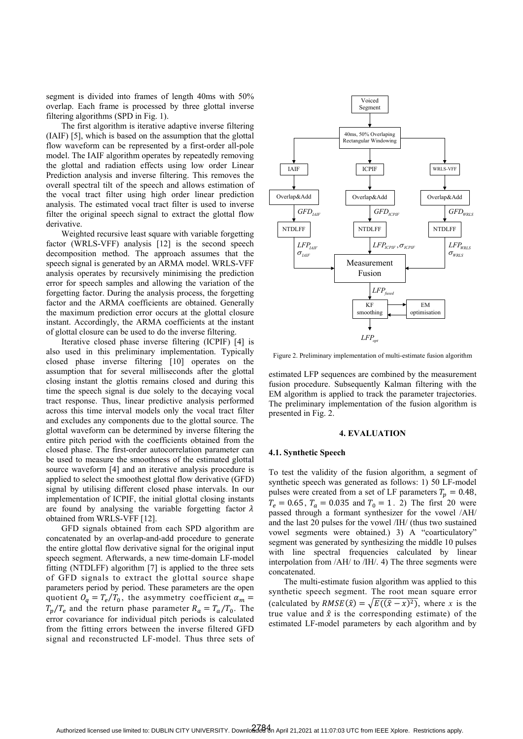segment is divided into frames of length 40ms with 50% overlap. Each frame is processed by three glottal inverse filtering algorithms (SPD in Fig. 1).

The first algorithm is iterative adaptive inverse filtering (IAIF) [5], which is based on the assumption that the glottal flow waveform can be represented by a first-order all-pole model. The IAIF algorithm operates by repeatedly removing the glottal and radiation effects using low order Linear Prediction analysis and inverse filtering. This removes the overall spectral tilt of the speech and allows estimation of the vocal tract filter using high order linear prediction analysis. The estimated vocal tract filter is used to inverse filter the original speech signal to extract the glottal flow derivative.

Weighted recursive least square with variable forgetting factor (WRLS-VFF) analysis [12] is the second speech decomposition method. The approach assumes that the speech signal is generated by an ARMA model. WRLS-VFF analysis operates by recursively minimising the prediction error for speech samples and allowing the variation of the forgetting factor. During the analysis process, the forgetting factor and the ARMA coefficients are obtained. Generally the maximum prediction error occurs at the glottal closure instant. Accordingly, the ARMA coefficients at the instant of glottal closure can be used to do the inverse filtering.

Iterative closed phase inverse filtering (ICPIF) [4] is also used in this preliminary implementation. Typically closed phase inverse filtering [10] operates on the assumption that for several milliseconds after the glottal closing instant the glottis remains closed and during this time the speech signal is due solely to the decaying vocal tract response. Thus, linear predictive analysis performed across this time interval models only the vocal tract filter and excludes any components due to the glottal source. The glottal waveform can be determined by inverse filtering the entire pitch period with the coefficients obtained from the closed phase. The first-order autocorrelation parameter can be used to measure the smoothness of the estimated glottal source waveform [4] and an iterative analysis procedure is applied to select the smoothest glottal flow derivative (GFD) signal by utilising different closed phase intervals. In our implementation of ICPIF, the initial glottal closing instants are found by analysing the variable forgetting factor  $\lambda$ obtained from WRLS-VFF [12].

GFD signals obtained from each SPD algorithm are concatenated by an overlap-and-add procedure to generate the entire glottal flow derivative signal for the original input speech segment. Afterwards, a new time-domain LF-model fitting (NTDLFF) algorithm [7] is applied to the three sets of GFD signals to extract the glottal source shape parameters period by period. These parameters are the open quotient  $Q_q = T_e/T_0$ , the asymmetry coefficient  $\alpha_m =$  $T_p/T_e$  and the return phase parameter  $R_a = T_a/T_0$ . The error covariance for individual pitch periods is calculated from the fitting errors between the inverse filtered GFD signal and reconstructed LF-model. Thus three sets of



Figure 2. Preliminary implementation of multi-estimate fusion algorithm

estimated LFP sequences are combined by the measurement fusion procedure. Subsequently Kalman filtering with the EM algorithm is applied to track the parameter trajectories. The preliminary implementation of the fusion algorithm is presented in Fig. 2.

### **4. EVALUATION**

#### **4.1. Synthetic Speech**

To test the validity of the fusion algorithm, a segment of synthetic speech was generated as follows: 1) 50 LF-model pulses were created from a set of LF parameters  $T_p = 0.48$ ,  $T_e = 0.65$ ,  $T_a = 0.035$  and  $T_0 = 1$ . 2) The first 20 were passed through a formant synthesizer for the vowel /AH/ and the last 20 pulses for the vowel /IH/ (thus two sustained vowel segments were obtained.) 3) A "coarticulatory" segment was generated by synthesizing the middle 10 pulses with line spectral frequencies calculated by linear interpolation from /AH/ to /IH/. 4) The three segments were concatenated.

The multi-estimate fusion algorithm was applied to this synthetic speech segment. The root mean square error (calculated by  $RMSE(\hat{x}) = \sqrt{E((\hat{x} - x)^2)}$ , where *x* is the true value and  $\hat{x}$  is the corresponding estimate) of the estimated LF-model parameters by each algorithm and by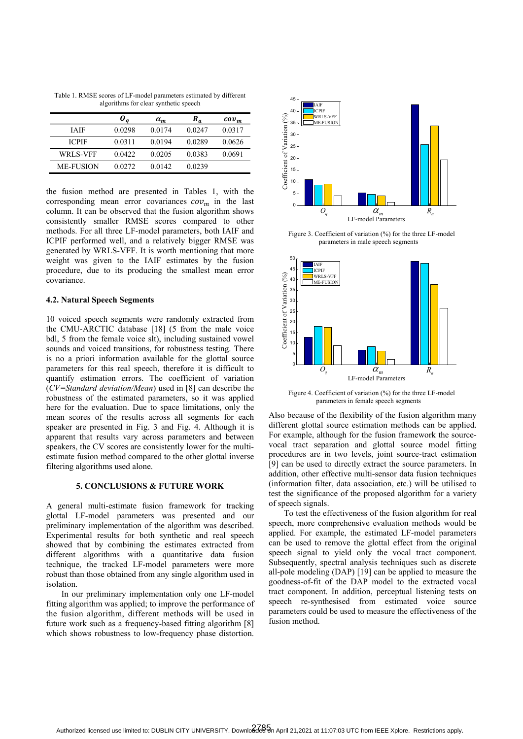Table 1. RMSE scores of LF-model parameters estimated by different algorithms for clear synthetic speech

|                 |         | $a_m$  | $R_a$  | $cov_m$ |
|-----------------|---------|--------|--------|---------|
| <b>TAIF</b>     | 0.0298  | 0.0174 | 0.0247 | 0.0317  |
| <b>ICPIF</b>    | 0.0311  | 0.0194 | 0.0289 | 0.0626  |
| <b>WRLS-VFF</b> | 0.0422  | 0.0205 | 0.0383 | 0.0691  |
| ME-FUSION       | 0.02.72 | 0.0142 | 0.0239 |         |

the fusion method are presented in Tables 1, with the corresponding mean error covariances  $cov_m$  in the last column. It can be observed that the fusion algorithm shows consistently smaller RMSE scores compared to other methods. For all three LF-model parameters, both IAIF and ICPIF performed well, and a relatively bigger RMSE was generated by WRLS-VFF. It is worth mentioning that more weight was given to the IAIF estimates by the fusion procedure, due to its producing the smallest mean error covariance.

### **4.2. Natural Speech Segments**

10 voiced speech segments were randomly extracted from the CMU-ARCTIC database [18] (5 from the male voice bdl, 5 from the female voice slt), including sustained vowel sounds and voiced transitions, for robustness testing. There is no a priori information available for the glottal source parameters for this real speech, therefore it is difficult to quantify estimation errors. The coefficient of variation (*CV=Standard deviation/Mean*) used in [8] can describe the robustness of the estimated parameters, so it was applied here for the evaluation. Due to space limitations, only the mean scores of the results across all segments for each speaker are presented in Fig. 3 and Fig. 4. Although it is apparent that results vary across parameters and between speakers, the CV scores are consistently lower for the multiestimate fusion method compared to the other glottal inverse filtering algorithms used alone.

## **5. CONCLUSIONS & FUTURE WORK**

A general multi-estimate fusion framework for tracking glottal LF-model parameters was presented and our preliminary implementation of the algorithm was described. Experimental results for both synthetic and real speech showed that by combining the estimates extracted from different algorithms with a quantitative data fusion technique, the tracked LF-model parameters were more robust than those obtained from any single algorithm used in isolation.

In our preliminary implementation only one LF-model fitting algorithm was applied; to improve the performance of the fusion algorithm, different methods will be used in future work such as a frequency-based fitting algorithm [8] which shows robustness to low-frequency phase distortion.



Figure 3. Coefficient of variation (%) for the three LF-model parameters in male speech segments



Figure 4. Coefficient of variation (%) for the three LF-model parameters in female speech segments

Also because of the flexibility of the fusion algorithm many different glottal source estimation methods can be applied. For example, although for the fusion framework the sourcevocal tract separation and glottal source model fitting procedures are in two levels, joint source-tract estimation [9] can be used to directly extract the source parameters. In addition, other effective multi-sensor data fusion techniques (information filter, data association, etc.) will be utilised to test the significance of the proposed algorithm for a variety of speech signals.

To test the effectiveness of the fusion algorithm for real speech, more comprehensive evaluation methods would be applied. For example, the estimated LF-model parameters can be used to remove the glottal effect from the original speech signal to yield only the vocal tract component. Subsequently, spectral analysis techniques such as discrete all-pole modeling (DAP) [19] can be applied to measure the goodness-of-fit of the DAP model to the extracted vocal tract component. In addition, perceptual listening tests on speech re-synthesised from estimated voice source parameters could be used to measure the effectiveness of the fusion method.